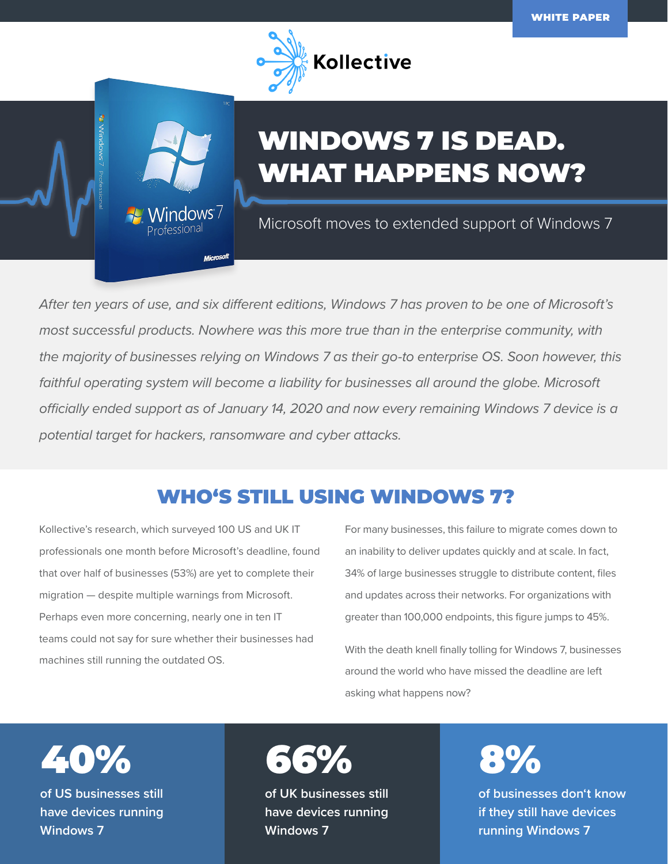

# WINDOWS 7 IS DEAD. WHAT HAPPENS NOW?

Microsoft moves to extended support of Windows 7

*After ten years of use, and six different editions, Windows 7 has proven to be one of Microsoft's most successful products. Nowhere was this more true than in the enterprise community, with the majority of businesses relying on Windows 7 as their go-to enterprise OS. Soon however, this*  faithful operating system will become a liability for businesses all around the globe. Microsoft *officially ended support as of January 14, 2020 and now every remaining Windows 7 device is a potential target for hackers, ransomware and cyber attacks.*

# WHO'S STILL USING WINDOWS 7?

Kollective's research, which surveyed 100 US and UK IT professionals one month before Microsoft's deadline, found that over half of businesses (53%) are yet to complete their migration — despite multiple warnings from Microsoft. Perhaps even more concerning, nearly one in ten IT teams could not say for sure whether their businesses had machines still running the outdated OS.

Vindows  $7\,$ P<sub>rofessional</sub>

Microsoft

For many businesses, this failure to migrate comes down to an inability to deliver updates quickly and at scale. In fact, 34% of large businesses struggle to distribute content, files and updates across their networks. For organizations with greater than 100,000 endpoints, this figure jumps to 45%.

With the death knell finally tolling for Windows 7, businesses around the world who have missed the deadline are left asking what happens now?

**of US businesses still have devices running**  40%

**Windo** 

**Windows 7**



**of UK businesses still have devices running Windows 7**

8%

**of businesses don't know if they still have devices running Windows 7**